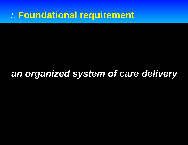## *1.* **Foundational requirement**

## *an organized system of care delivery*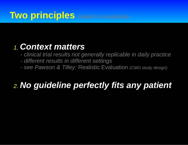## **Two principles** *related to complexity*

### *1. Context matters*

- *clinical trial results not generally replicable in daily practice*
- *different results in different settings*
- *see Pawson & Tilley:* Realistic Evaluation *(CMO study design)*

# *2. No guideline perfectly fits any patient*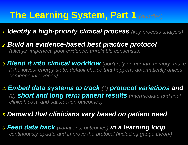# **The Learning System, Part 1** *(bundles)*

#### *1. Identify a high-priority clinical process (key process analysis)*

*2. Build an evidence-based best practice protocol (always imperfect: poor evidence, unreliable consensus)*

*3. Blend it into clinical workflow (don't rely on human memory; make it the lowest energy state, default choice that happens automatically unless someone intervenes)*

#### *4. Embed data systems to track (1) protocol variations and (2) short and long term patient results (intermediate and final clinical, cost, and satisfaction outcomes)*

#### *5. Demand that clinicians vary based on patient need*

*6. Feed data back (variations, outcomes) in a learning loop continuously update and improve the protocol (including gauge theory)*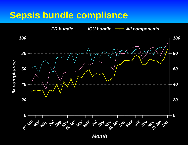## **Sepsis bundle compliance**

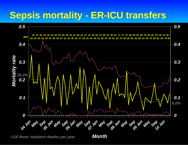# **Sepsis mortality - ER-ICU transfers**



*~116 fewer inpatient deaths per year*

*Month*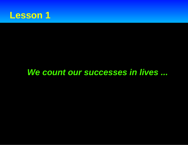

## *We count our successes in lives ...*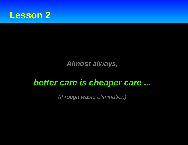

### *Almost always,*

## *better care is cheaper care ...*

*(through waste elimination)*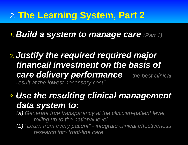# *2.* **The Learning System, Part 2**

*1. Build a system to manage care (Part 1)*

*2. Justify the required required major financail investment on the basis of care delivery performance -- "the best clinical result at the lowest necessary cost"*

## *3. Use the resulting clinical management data system to:*

*(a) Generate true transparency at the clinician-patient level, rolling up to the national level*

*(b) "Learn from every patient" - integrate clinical effectiveness research into front-line care*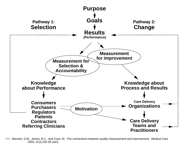

Ref: Berwick, D.M., James, B.C., and Coye, M. The connections between quality measurement and improvement. *Medical Care* 2003; 41(1):I30-39 (Jan).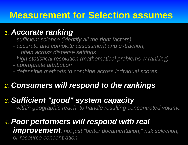# **Measurement for Selection assumes**

### *1. Accurate ranking*

- *sufficient science (identify all the right factors)*
- *accurate and complete assessment and extraction, often across disperse settings*
- *high statistical resolution (mathematical problems w ranking)*
- *appropriate attribution*
- *defensible methods to combine across individual scores*

## *2. Consumers will respond to the rankings*

## *3. Sufficient "good" system capacity*

 *within geographic reach, to handle resulting concentrated volume*

#### *4. Poor performers will respond with real improvement, not just "better documentation," risk selection, or resource concentration*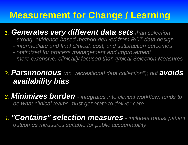# **Measurement for Change / Learning**

### *1. Generates very different data sets than selection*

- *strong, evidence-based method derived from RCT data design*
- *intermediate and final clinical, cost, and satisfaction outcomes*
- *optimized for process management and improvement*
- *more extensive, clinically focused than typical Selection Measures*

### *2. Parsimonious (no "recreational data collection"); but avoids availability bias*

*3. Minimizes burden - integrates into clinical workflow, tends to be what clinical teams must generate to deliver care*

#### *4. "Contains" selection measures - includes robust patient outcomes measures suitable for public accountability*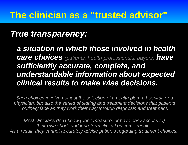## *True transparency:*

*a situation in which those involved in health care choices (patients, health professionals, payers) have sufficiently accurate, complete, and understandable information about expected clinical results to make wise decisions.*

*Such choices involve not just the selection of a health plan, a hospital, or a physician, but also the series of testing and treatment decisions that patients routinely face as they work their way through diagnosis and treatment.*

*Most clinicians don't know (don't measure, or have easy access to) their own short- and long-term clinical outcome results. As a result, they cannot accurately advise patients regarding treatment choices.*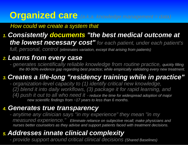## **Organized care** *(a.k.a. knowledge management = data)*

#### *How could we create a system that*

#### *1. Consistently documents "the best medical outcome at the lowest necessary cost" for each patient, under each patient's full, personal, control (eliminates variation, except that arising from patients)*

#### *2. Learns from every case*

*- generates scientifically reliable knowledge from routine practice, quickly filling the 80-90% evidence gap regarding best practice; while empirically validating every new treatment.*

### *3. Creates a life-long "residency training while in practice"*

*- organization-level capacity to (1) identify critical new knowledge, (2) blend it into daily workflows, (3) package it for rapid learning, and (4) push it out to all who need it - reduce the time for widespread adoption of major new scientific findings from ~17 years to less than 6 months.*

#### *4. Generates true transparency*

*- anytime any clinician says "in my experience" they mean "in my measured experience." Eliminate reliance on subjective recall; make physicians and nurses better counselors as they advise and support patients faced with treatment decisions.*

### *5. Addresses innate clinical complexity*

*- provide support around critical clinical decisions (Shared Baselines)*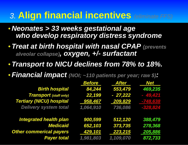# *3.* **Align financial incentives** *(eliminate FFS)*

- *Neonates > 33 weeks gestational age who develop respiratory distress syndrome*
- *Treat at birth hospital with nasal CPAP (prevents alveolar collapse), oxygen, +/- surfactant*
- *Transport to NICU declines from 78% to 18%.*
- *Financial impact (NOI; ~110 patients per year; raw \$) :*

|                                 | <b>Before</b> | <b>After</b> | <b>Net</b> |
|---------------------------------|---------------|--------------|------------|
| <b>Birth hospital</b>           | 84,244        | 553,479      | 469,235    |
| <b>Transport</b> (staff only)   | 22,199        | $-27,222$    | $-49,421$  |
| <b>Tertiary (NICU) hospital</b> | 958,467       | 209,829      | -748,638   |
| <b>Delivery system total</b>    | 1,064,910     | 736,086      | -328,824   |
| <b>Integrated health plan</b>   | 900,599       | 512,120      | 388,479    |
| <b>Medicaid</b>                 | 652,103       | 373,735      | 278,368    |
| <b>Other commerical payers</b>  | 429,101       | 223,215      | 205,886    |
| <b>Payer total</b>              | 1,981,803     | 1,109,070    | 872,733    |